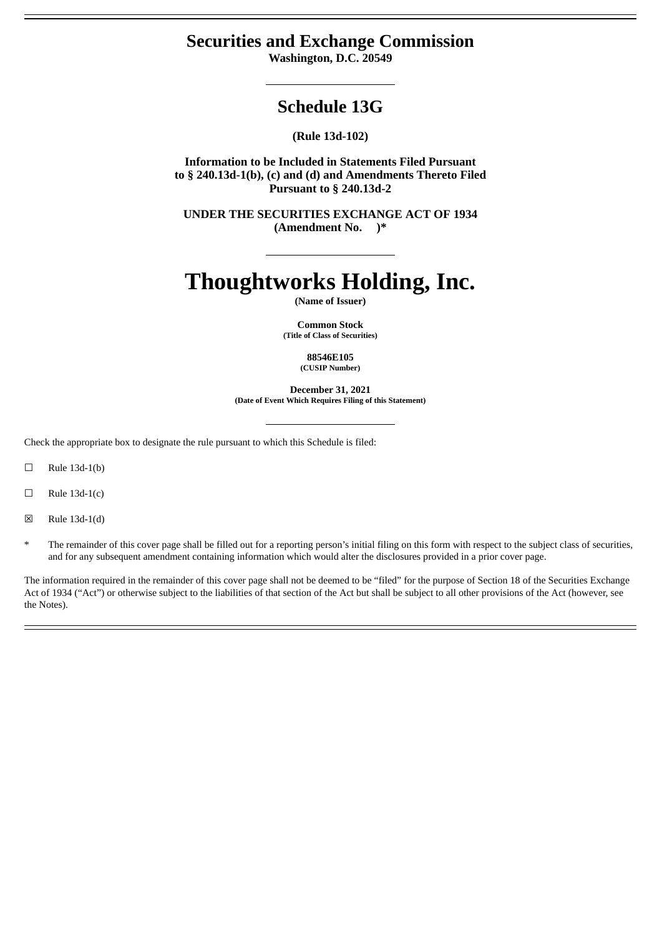# **Securities and Exchange Commission**

**Washington, D.C. 20549**

# **Schedule 13G**

**(Rule 13d-102)**

**Information to be Included in Statements Filed Pursuant to § 240.13d-1(b), (c) and (d) and Amendments Thereto Filed Pursuant to § 240.13d-2**

**UNDER THE SECURITIES EXCHANGE ACT OF 1934 (Amendment No. )\***

# **Thoughtworks Holding, Inc.**

**(Name of Issuer)**

**Common Stock (Title of Class of Securities)**

> **88546E105 (CUSIP Number)**

**December 31, 2021 (Date of Event Which Requires Filing of this Statement)**

Check the appropriate box to designate the rule pursuant to which this Schedule is filed:

 $\Box$  Rule 13d-1(b)

 $\Box$  Rule 13d-1(c)

☒ Rule 13d-1(d)

The remainder of this cover page shall be filled out for a reporting person's initial filing on this form with respect to the subject class of securities, and for any subsequent amendment containing information which would alter the disclosures provided in a prior cover page.

The information required in the remainder of this cover page shall not be deemed to be "filed" for the purpose of Section 18 of the Securities Exchange Act of 1934 ("Act") or otherwise subject to the liabilities of that section of the Act but shall be subject to all other provisions of the Act (however, see the Notes).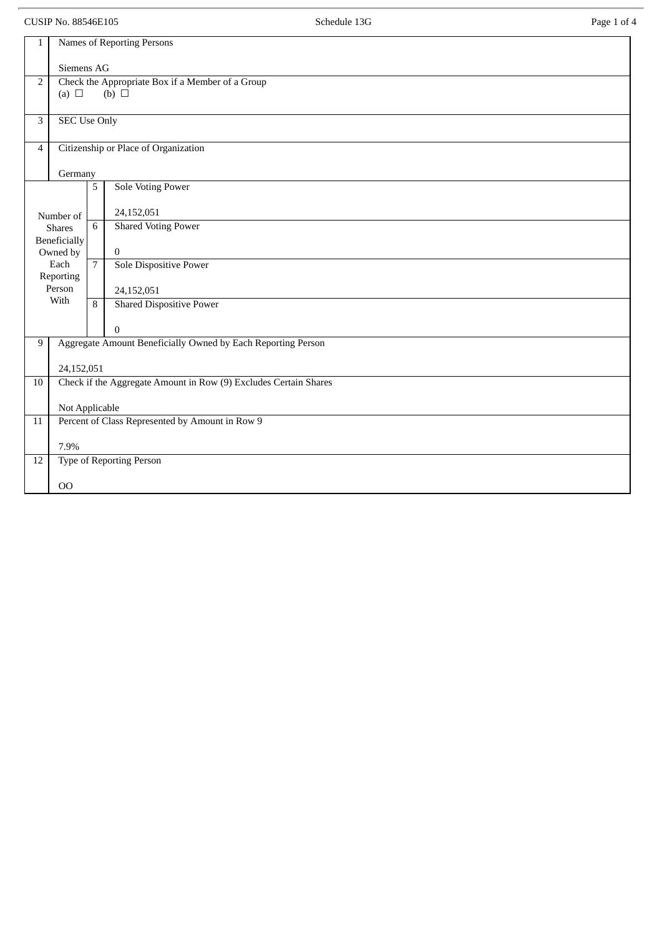CUSIP No. 88546E105 Page 1 of 4

| 1                | <b>Names of Reporting Persons</b>                                |                |                                                   |  |  |  |  |  |
|------------------|------------------------------------------------------------------|----------------|---------------------------------------------------|--|--|--|--|--|
|                  | Siemens AG                                                       |                |                                                   |  |  |  |  |  |
| 2                |                                                                  |                | Check the Appropriate Box if a Member of a Group  |  |  |  |  |  |
|                  | (a) $\Box$                                                       |                | (b) $\Box$                                        |  |  |  |  |  |
|                  |                                                                  |                |                                                   |  |  |  |  |  |
| 3                | <b>SEC Use Only</b>                                              |                |                                                   |  |  |  |  |  |
| $\overline{4}$   | Citizenship or Place of Organization                             |                |                                                   |  |  |  |  |  |
|                  |                                                                  |                |                                                   |  |  |  |  |  |
|                  | Germany<br>5<br><b>Sole Voting Power</b>                         |                |                                                   |  |  |  |  |  |
|                  |                                                                  |                |                                                   |  |  |  |  |  |
| Number of        |                                                                  |                | 24,152,051                                        |  |  |  |  |  |
| <b>Shares</b>    |                                                                  | 6              | <b>Shared Voting Power</b>                        |  |  |  |  |  |
| Beneficially     |                                                                  |                |                                                   |  |  |  |  |  |
| Owned by<br>Each |                                                                  | $\overline{7}$ | $\boldsymbol{0}$<br><b>Sole Dispositive Power</b> |  |  |  |  |  |
| Reporting        |                                                                  |                |                                                   |  |  |  |  |  |
| Person           |                                                                  |                | 24,152,051                                        |  |  |  |  |  |
|                  | With                                                             | 8              | <b>Shared Dispositive Power</b>                   |  |  |  |  |  |
|                  |                                                                  |                | $\boldsymbol{0}$                                  |  |  |  |  |  |
| 9                | Aggregate Amount Beneficially Owned by Each Reporting Person     |                |                                                   |  |  |  |  |  |
|                  |                                                                  |                |                                                   |  |  |  |  |  |
|                  | 24,152,051                                                       |                |                                                   |  |  |  |  |  |
| $10\,$           | Check if the Aggregate Amount in Row (9) Excludes Certain Shares |                |                                                   |  |  |  |  |  |
|                  | Not Applicable                                                   |                |                                                   |  |  |  |  |  |
| 11               | Percent of Class Represented by Amount in Row 9                  |                |                                                   |  |  |  |  |  |
|                  | 7.9%                                                             |                |                                                   |  |  |  |  |  |
| 12               | Type of Reporting Person                                         |                |                                                   |  |  |  |  |  |
|                  |                                                                  |                |                                                   |  |  |  |  |  |
|                  | 00                                                               |                |                                                   |  |  |  |  |  |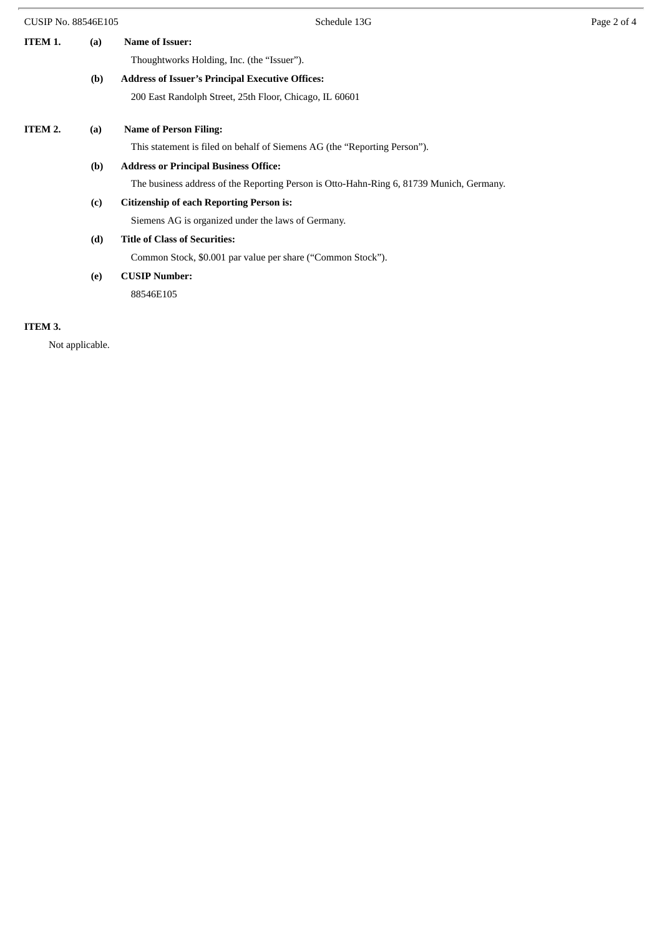| <b>CUSIP No. 88546E105</b> | Schedule 13G                                                                             | Page 2 of 4 |
|----------------------------|------------------------------------------------------------------------------------------|-------------|
| ITEM 1.<br>(a)             | <b>Name of Issuer:</b>                                                                   |             |
|                            | Thoughtworks Holding, Inc. (the "Issuer").                                               |             |
| (b)                        | <b>Address of Issuer's Principal Executive Offices:</b>                                  |             |
|                            | 200 East Randolph Street, 25th Floor, Chicago, IL 60601                                  |             |
| ITEM 2.<br>(a)             | <b>Name of Person Filing:</b>                                                            |             |
|                            | This statement is filed on behalf of Siemens AG (the "Reporting Person").                |             |
| (b)                        | <b>Address or Principal Business Office:</b>                                             |             |
|                            | The business address of the Reporting Person is Otto-Hahn-Ring 6, 81739 Munich, Germany. |             |
| (c)                        | <b>Citizenship of each Reporting Person is:</b>                                          |             |
|                            | Siemens AG is organized under the laws of Germany.                                       |             |
| (d)                        | <b>Title of Class of Securities:</b>                                                     |             |
|                            | Common Stock, \$0.001 par value per share ("Common Stock").                              |             |
| (e)                        | <b>CUSIP Number:</b>                                                                     |             |
|                            | 88546E105                                                                                |             |
|                            |                                                                                          |             |

### **ITEM 3.**

Not applicable.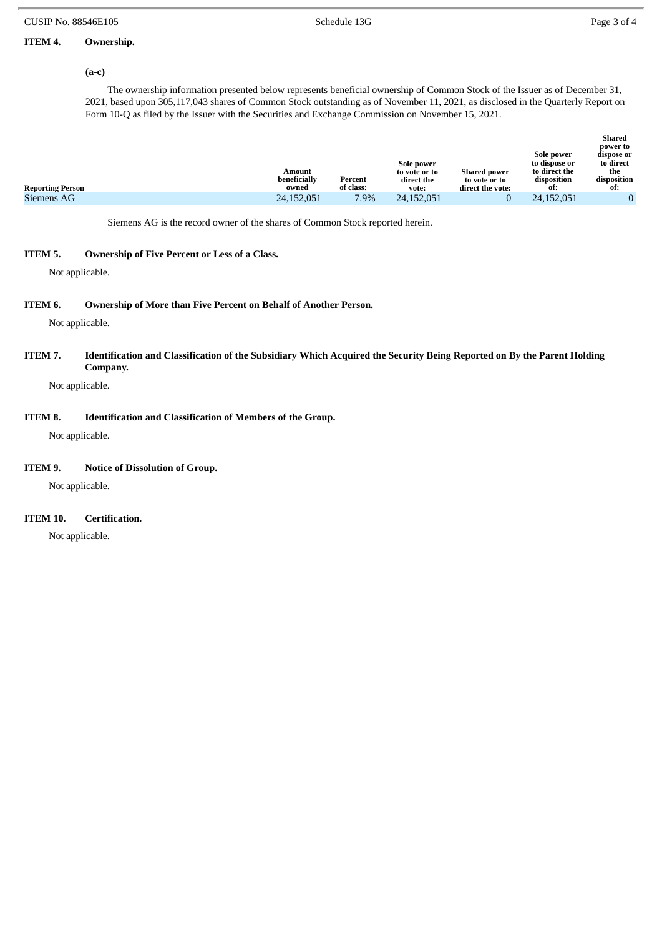### **ITEM 4. Ownership.**

#### **(a-c)**

The ownership information presented below represents beneficial ownership of Common Stock of the Issuer as of December 31, 2021, based upon 305,117,043 shares of Common Stock outstanding as of November 11, 2021, as disclosed in the Quarterly Report on Form 10-Q as filed by the Issuer with the Securities and Exchange Commission on November 15, 2021.

| Sole power<br>to dispose or<br>Sole power<br>to direct the<br><b>Shared power</b><br>Amount<br>to vote or to<br>beneficially<br>disposition<br>Percent<br>direct the<br>to vote or to<br>of class:<br>owned<br><b>Reporting Person</b><br>direct the vote:<br>ot:<br>vote: | dispose or<br>to direct<br>the<br>disposition<br>ot: |
|----------------------------------------------------------------------------------------------------------------------------------------------------------------------------------------------------------------------------------------------------------------------------|------------------------------------------------------|
| 7.9%<br>Siemens AG<br>24,152,051<br>24,152,051<br>24,152,051                                                                                                                                                                                                               |                                                      |

Siemens AG is the record owner of the shares of Common Stock reported herein.

#### **ITEM 5. Ownership of Five Percent or Less of a Class.**

Not applicable.

#### **ITEM 6. Ownership of More than Five Percent on Behalf of Another Person.**

Not applicable.

ITEM 7. Identification and Classification of the Subsidiary Which Acquired the Security Being Reported on By the Parent Holding **Company.**

Not applicable.

#### **ITEM 8. Identification and Classification of Members of the Group.**

Not applicable.

#### **ITEM 9. Notice of Dissolution of Group.**

Not applicable.

#### **ITEM 10. Certification.**

Not applicable.